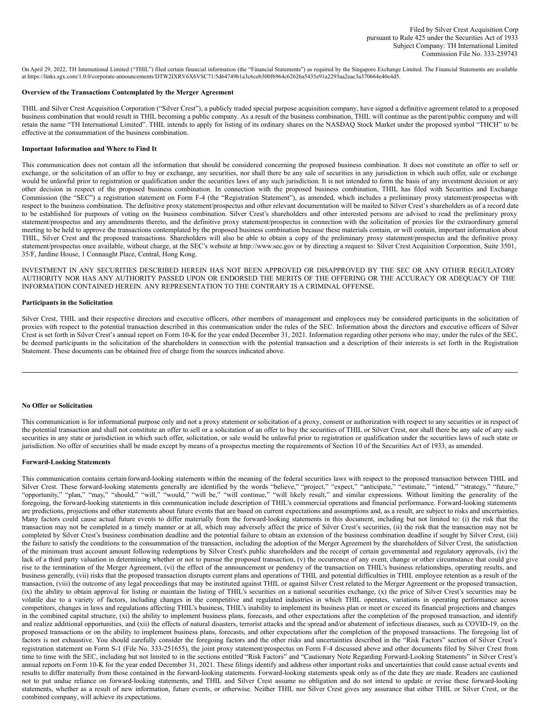On April 29, 2022, TH International Limited ("THIL") filed certain financial information (the "Financial Statements") as required by the Singapore Exchange Limited. The Financial Statements are available at https://links.sgx.com/1.0.0/corporate-announcements/DTW2IXRV6X6VSC71/5d64749b1a3c6ceb300f6964c62626a5435e91a2293aa2eac3a370664e40e4d5.

#### **Overview of the Transactions Contemplated by the Merger Agreement**

THIL and Silver Crest Acquisition Corporation ("Silver Crest"), a publicly traded special purpose acquisition company, have signed a definitive agreement related to a proposed business combination that would result in THIL becoming a public company. As a result of the business combination, THIL will continue as the parent/public company and will retain the name "TH International Limited". THIL intends to apply for listing of its ordinary shares on the NASDAQ Stock Market under the proposed symbol "THCH" to be effective at the consummation of the business combination.

## **Important Information and Where to Find It**

This communication does not contain all the information that should be considered concerning the proposed business combination. It does not constitute an offer to sell or exchange, or the solicitation of an offer to buy or exchange, any securities, nor shall there be any sale of securities in any jurisdiction in which such offer, sale or exchange would be unlawful prior to registration or qualification under the securities laws of any such jurisdiction. It is not intended to form the basis of any investment decision or any other decision in respect of the proposed business combination. In connection with the proposed business combination, THIL has filed with Securities and Exchange Commission (the "SEC") a registration statement on Form F-4 (the "Registration Statement"), as amended, which includes a preliminary proxy statement/prospectus with respect to the business combination. The definitive proxy statement/prospectus and other relevant documentation will be mailed to Silver Crest's shareholders as of a record date to be established for purposes of voting on the business combination. Silver Crest's shareholders and other interested persons are advised to read the preliminary proxy statement/prospectus and any amendments thereto, and the definitive proxy statement/prospectus in connection with the solicitation of proxies for the extraordinary general meeting to be held to approve the transactions contemplated by the proposed business combination because these materials contain, or will contain, important information about THIL, Silver Crest and the proposed transactions. Shareholders will also be able to obtain a copy of the preliminary proxy statement/prospectus and the definitive proxy statement/prospectus once available, without charge, at the SEC's website at http://www.sec.gov or by directing a request to: Silver Crest Acquisition Corporation, Suite 3501, 35/F, Jardine House, 1 Connaught Place, Central, Hong Kong.

INVESTMENT IN ANY SECURITIES DESCRIBED HEREIN HAS NOT BEEN APPROVED OR DISAPPROVED BY THE SEC OR ANY OTHER REGULATORY AUTHORITY NOR HAS ANY AUTHORITY PASSED UPON OR ENDORSED THE MERITS OF THE OFFERING OR THE ACCURACY OR ADEQUACY OF THE INFORMATION CONTAINED HEREIN. ANY REPRESENTATION TO THE CONTRARY IS A CRIMINAL OFFENSE.

## **Participants in the Solicitation**

Silver Crest, THIL and their respective directors and executive officers, other members of management and employees may be considered participants in the solicitation of proxies with respect to the potential transaction described in this communication under the rules of the SEC. Information about the directors and executive officers of Silver Crest is set forth in Silver Crest's annual report on Form 10-K for the year ended December 31, 2021. Information regarding other persons who may, under the rules of the SEC, be deemed participants in the solicitation of the shareholders in connection with the potential transaction and a description of their interests is set forth in the Registration Statement. These documents can be obtained free of charge from the sources indicated above.

## **No Offer or Solicitation**

This communication is for informational purpose only and not a proxy statement or solicitation of a proxy, consent or authorization with respect to any securities or in respect of the potential transaction and shall not constitute an offer to sell or a solicitation of an offer to buy the securities of THIL or Silver Crest, nor shall there be any sale of any such securities in any state or jurisdiction in which such offer, solicitation, or sale would be unlawful prior to registration or qualification under the securities laws of such state or jurisdiction. No offer of securities shall be made except by means of a prospectus meeting the requirements of Section 10 of the Securities Act of 1933, as amended.

#### **Forward-Looking Statements**

This communication contains certain forward-looking statements within the meaning of the federal securities laws with respect to the proposed transaction between THIL and Silver Crest. These forward-looking statements generally are identified by the words "believe," "project," "expect," "anticipate," "estimate," "intend," "strategy," "future," "opportunity," "plan," "may," "should," "will," "would," "will be," "will continue," "will likely result," and similar expressions. Without limiting the generality of the foregoing, the forward-looking statements in this communication include description of THIL's commercial operations and financial performance. Forward-looking statements are predictions, projections and other statements about future events that are based on current expectations and assumptions and, as a result, are subject to risks and uncertainties. Many factors could cause actual future events to differ materially from the forward-looking statements in this document, including but not limited to: (i) the risk that the transaction may not be completed in a timely manner or at all, which may adversely affect the price of Silver Crest's securities, (ii) the risk that the transaction may not be completed by Silver Crest's business combination deadline and the potential failure to obtain an extension of the business combination deadline if sought by Silver Crest, (iii) the failure to satisfy the conditions to the consummation of the transaction, including the adoption of the Merger Agreement by the shareholders of Silver Crest, the satisfaction of the minimum trust account amount following redemptions by Silver Crest's public shareholders and the receipt of certain governmental and regulatory approvals, (iv) the lack of a third party valuation in determining whether or not to pursue the proposed transaction, (v) the occurrence of any event, change or other circumstance that could give rise to the termination of the Merger Agreement, (vi) the effect of the announcement or pendency of the transaction on THIL's business relationships, operating results, and business generally, (vii) risks that the proposed transaction disrupts current plans and operations of THIL and potential difficulties in THIL employee retention as a result of the transaction, (viii) the outcome of any legal proceedings that may be instituted against THIL or against Silver Crest related to the Merger Agreement or the proposed transaction, (ix) the ability to obtain approval for listing or maintain the listing of THIL's securities on a national securities exchange, (x) the price of Silver Crest's securities may be volatile due to a variety of factors, including changes in the competitive and regulated industries in which THIL operates, variations in operating performance across competitors, changes in laws and regulations affecting THIL's business, THIL's inability to implement its business plan or meet or exceed its financial projections and changes in the combined capital structure, (xi) the ability to implement business plans, forecasts, and other expectations after the completion of the proposed transaction, and identify and realize additional opportunities, and (xii) the effects of natural disasters, terrorist attacks and the spread and/or abatement of infectious diseases, such as COVID-19, on the proposed transactions or on the ability to implement business plans, forecasts, and other expectations after the completion of the proposed transactions. The foregoing list of factors is not exhaustive. You should carefully consider the foregoing factors and the other risks and uncertainties described in the "Risk Factors" section of Silver Crest's registration statement on Form S-1 (File No. 333-251655), the joint proxy statement/prospectus on Form F-4 discussed above and other documents filed by Silver Crest from time to time with the SEC, including but not limited to in the sections entitled "Risk Factors" and "Cautionary Note Regarding Forward-Looking Statements" in Silver Crest's annual reports on Form 10-K for the year ended December 31, 2021. These filings identify and address other important risks and uncertainties that could cause actual events and results to differ materially from those contained in the forward-looking statements. Forward-looking statements speak only as of the date they are made. Readers are cautioned not to put undue reliance on forward-looking statements, and THIL and Silver Crest assume no obligation and do not intend to update or revise these forward-looking statements, whether as a result of new information, future events, or otherwise. Neither THIL nor Silver Crest gives any assurance that either THIL or Silver Crest, or the combined company, will achieve its expectations.